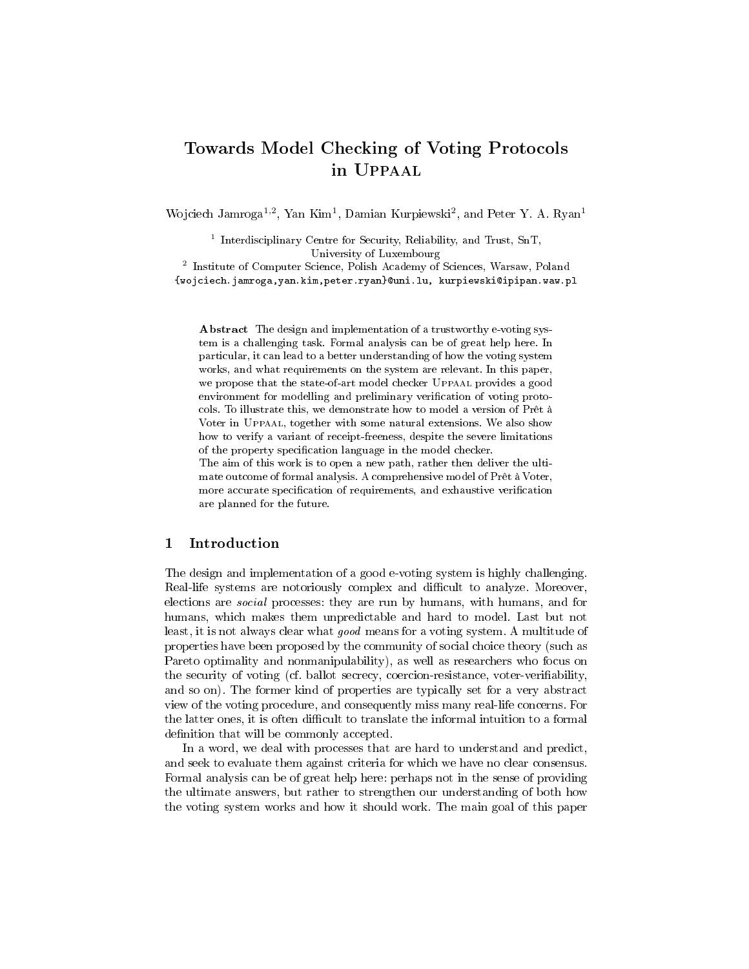# Towards Model Checking of Voting Protocols in Uppaal

Wojciech Jamroga<sup>1,2</sup>, Yan Kim<sup>1</sup>, Damian Kurpiewski<sup>2</sup>, and Peter Y. A. Ryan<sup>1</sup>

<sup>1</sup> Interdisciplinary Centre for Security, Reliability, and Trust, SnT, University of Luxembourg

<sup>2</sup> Institute of Computer Science, Polish Academy of Sciences, Warsaw, Poland {wojciech.jamroga,yan.kim,peter.ryan}@uni.lu, kurpiewski@ipipan.waw.pl

Abstract The design and implementation of a trustworthy e-voting system is a challenging task. Formal analysis can be of great help here. In particular, it can lead to a better understanding of how the voting system works, and what requirements on the system are relevant. In this paper, we propose that the state-of-art model checker UPPAAL provides a good environment for modelling and preliminary verification of voting protocols. To illustrate this, we demonstrate how to model a version of Prêt à Voter in Uppaal, together with some natural extensions. We also show how to verify a variant of receipt-freeness, despite the severe limitations of the property specification language in the model checker. The aim of this work is to open a new path, rather then deliver the ulti-

mate outcome of formal analysis. A comprehensive model of Prêt à Voter, more accurate specification of requirements, and exhaustive verification are planned for the future.

## 1 Introduction

The design and implementation of a good e-voting system is highly challenging. Real-life systems are notoriously complex and difficult to analyze. Moreover, elections are social processes: they are run by humans, with humans, and for humans, which makes them unpredictable and hard to model. Last but not least, it is not always clear what good means for a voting system. A multitude of properties have been proposed by the community of social choice theory (such as Pareto optimality and nonmanipulability), as well as researchers who focus on the security of voting (cf. ballot secrecy, coercion-resistance, voter-veriability, and so on). The former kind of properties are typically set for a very abstract view of the voting procedure, and consequently miss many real-life concerns. For the latter ones, it is often difficult to translate the informal intuition to a formal definition that will be commonly accepted.

In a word, we deal with processes that are hard to understand and predict, and seek to evaluate them against criteria for which we have no clear consensus. Formal analysis can be of great help here: perhaps not in the sense of providing the ultimate answers, but rather to strengthen our understanding of both how the voting system works and how it should work. The main goal of this paper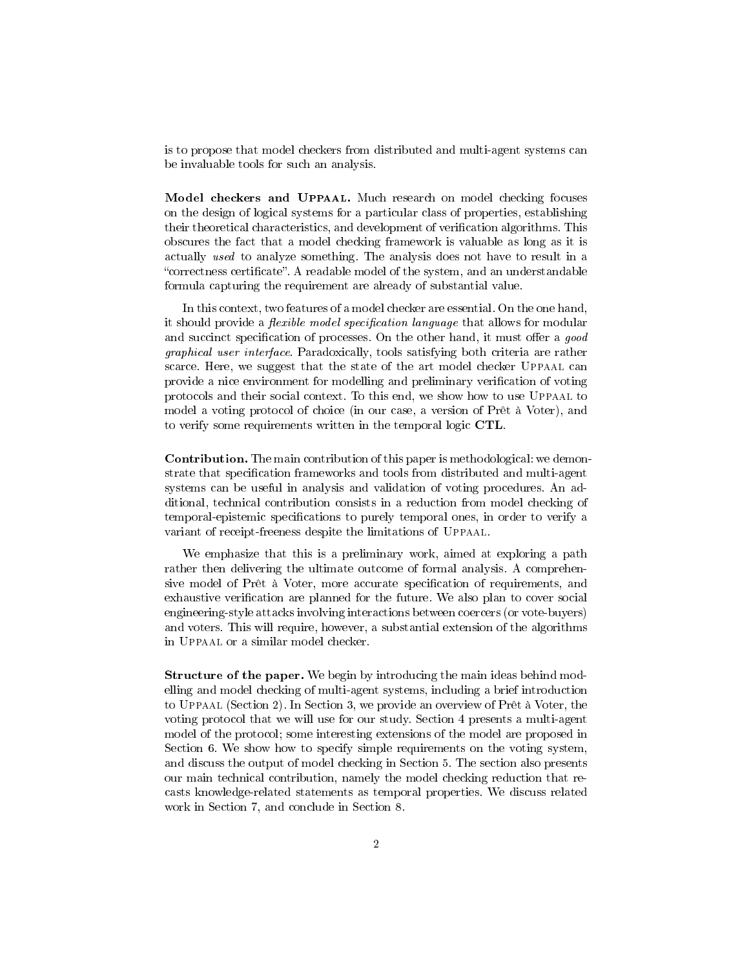is to propose that model checkers from distributed and multi-agent systems can be invaluable tools for such an analysis.

Model checkers and Uppaal. Much research on model checking focuses on the design of logical systems for a particular class of properties, establishing their theoretical characteristics, and development of verification algorithms. This obscures the fact that a model checking framework is valuable as long as it is actually used to analyze something. The analysis does not have to result in a "correctness certificate". A readable model of the system, and an understandable formula capturing the requirement are already of substantial value.

In this context, two features of a model checker are essential. On the one hand, it should provide a *flexible model specification language* that allows for modular and succinct specification of processes. On the other hand, it must offer a good graphical user interface. Paradoxically, tools satisfying both criteria are rather scarce. Here, we suggest that the state of the art model checker Uppaal can provide a nice environment for modelling and preliminary verification of voting protocols and their social context. To this end, we show how to use Uppaal to model a voting protocol of choice (in our case, a version of Prêt à Voter), and to verify some requirements written in the temporal logic CTL.

Contribution. The main contribution of this paper is methodological: we demonstrate that specification frameworks and tools from distributed and multi-agent systems can be useful in analysis and validation of voting procedures. An additional, technical contribution consists in a reduction from model checking of temporal-epistemic specifications to purely temporal ones, in order to verify a variant of receipt-freeness despite the limitations of Uppaal.

We emphasize that this is a preliminary work, aimed at exploring a path rather then delivering the ultimate outcome of formal analysis. A comprehensive model of Prêt à Voter, more accurate specification of requirements, and exhaustive verification are planned for the future. We also plan to cover social engineering-style attacks involving interactions between coercers (or vote-buyers) and voters. This will require, however, a substantial extension of the algorithms in Uppaal or a similar model checker.

Structure of the paper. We begin by introducing the main ideas behind modelling and model checking of multi-agent systems, including a brief introduction to Uppaal (Section 2). In Section 3, we provide an overview of Prêt à Voter, the voting protocol that we will use for our study. Section 4 presents a multi-agent model of the protocol; some interesting extensions of the model are proposed in Section 6. We show how to specify simple requirements on the voting system, and discuss the output of model checking in Section 5. The section also presents our main technical contribution, namely the model checking reduction that recasts knowledge-related statements as temporal properties. We discuss related work in Section 7, and conclude in Section 8.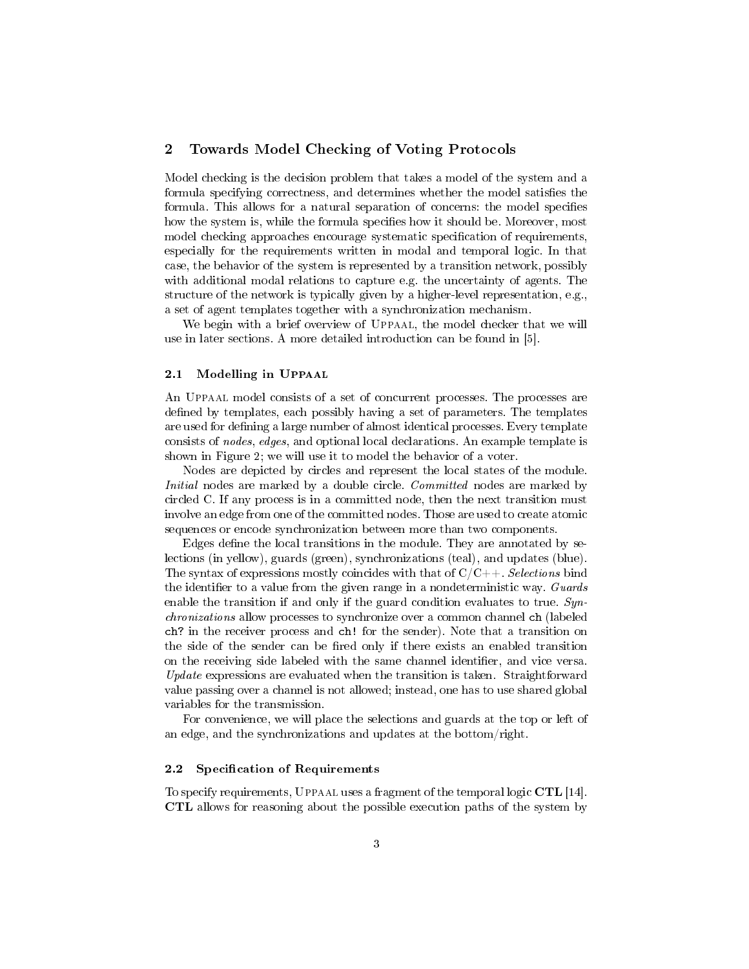## 2 Towards Model Checking of Voting Protocols

Model checking is the decision problem that takes a model of the system and a formula specifying correctness, and determines whether the model satisfies the formula. This allows for a natural separation of concerns: the model specifies how the system is, while the formula specifies how it should be. Moreover, most model checking approaches encourage systematic specification of requirements, especially for the requirements written in modal and temporal logic. In that case, the behavior of the system is represented by a transition network, possibly with additional modal relations to capture e.g. the uncertainty of agents. The structure of the network is typically given by a higher-level representation, e.g., a set of agent templates together with a synchronization mechanism.

We begin with a brief overview of UPPAAL, the model checker that we will use in later sections. A more detailed introduction can be found in [5].

#### 2.1 Modelling in Uppaal

An Uppaal model consists of a set of concurrent processes. The processes are defined by templates, each possibly having a set of parameters. The templates are used for defining a large number of almost identical processes. Every template consists of nodes, edges, and optional local declarations. An example template is shown in Figure 2; we will use it to model the behavior of a voter.

Nodes are depicted by circles and represent the local states of the module. Initial nodes are marked by a double circle. Committed nodes are marked by circled C. If any process is in a committed node, then the next transition must involve an edge from one of the committed nodes. Those are used to create atomic sequences or encode synchronization between more than two components.

Edges define the local transitions in the module. They are annotated by selections (in yellow), guards (green), synchronizations (teal), and updates (blue). The syntax of expressions mostly coincides with that of  $C/C++$ . Selections bind the identifier to a value from the given range in a nondeterministic way.  $Guards$ enable the transition if and only if the guard condition evaluates to true.  $Syn$ chronizations allow processes to synchronize over a common channel ch (labeled ch? in the receiver process and ch! for the sender). Note that a transition on the side of the sender can be fired only if there exists an enabled transition on the receiving side labeled with the same channel identifier, and vice versa. Update expressions are evaluated when the transition is taken. Straightforward value passing over a channel is not allowed; instead, one has to use shared global variables for the transmission.

For convenience, we will place the selections and guards at the top or left of an edge, and the synchronizations and updates at the bottom/right.

#### 2.2 Specification of Requirements

To specify requirements, UPPAAL uses a fragment of the temporal logic CTL [14]. CTL allows for reasoning about the possible execution paths of the system by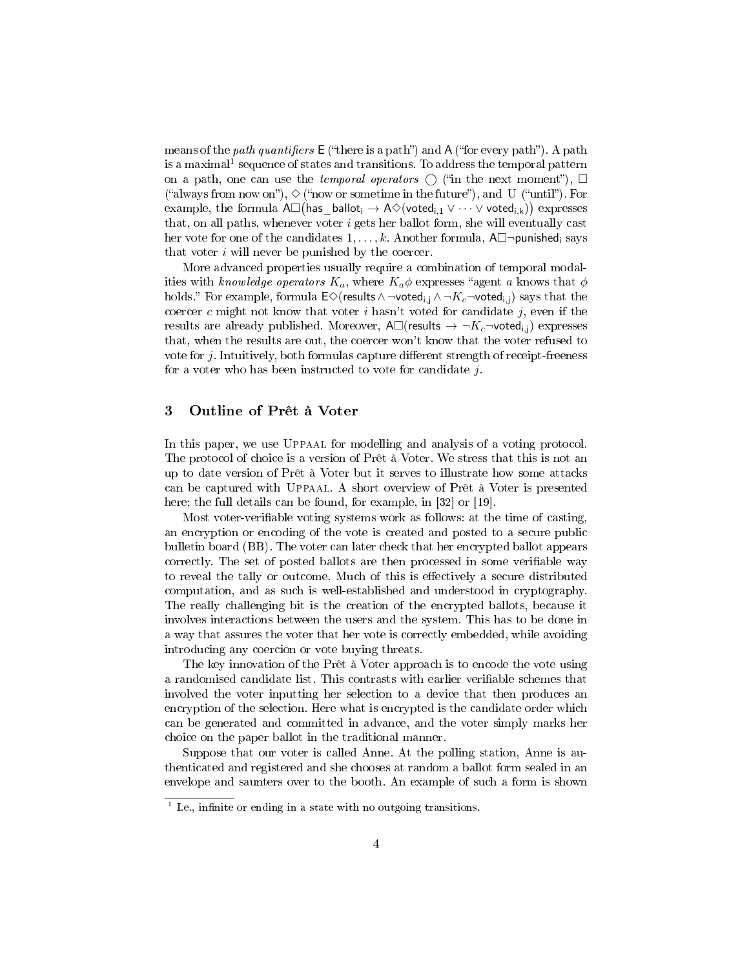means of the *path quantifiers*  $E$  ("there is a path") and A ("for every path"). A path is a maximal $^{\rm 1}$  sequence of states and transitions. To address the temporal pattern on a path, one can use the *temporal operators*  $\bigcirc$  ("in the next moment"),  $\Box$ ("always from now on"),  $\diamond$  ("now or sometime in the future"), and U ("until"). For example, the formula  $\mathsf{A}\square\big(\mathsf{has\_ballot_i}\to \mathsf{A}\diamondsuit(\mathsf{voted}_{\mathsf{i},1}\vee\dots\vee \mathsf{voted}_{\mathsf{i},\mathsf{k}})\big)$  expresses that, on all paths, whenever voter  $i$  gets her ballot form, she will eventually cast her vote for one of the candidates  $1, \ldots, k$ . Another formula,  $A \Box \neg$ punished, says that voter *i* will never be punished by the coercer.

More advanced properties usually require a combination of temporal modalities with knowledge operators  $K_a$ , where  $K_a\phi$  expresses "agent a knows that  $\phi$ holds." For example, formula  $E \diamond ($ results∧ ¬voted<sub>i,j</sub> ∧ ¬ $K_c$  ¬voted<sub>i,j</sub>) says that the coercer c might not know that voter  $i$  hasn't voted for candidate  $j$ , even if the results are already published. Moreover,  $\mathsf{A}\square$ (results  $\rightarrow \neg K_c\neg$ voted<sub>i,j</sub>) expresses that, when the results are out, the coercer won't know that the voter refused to vote for  $j$ . Intuitively, both formulas capture different strength of receipt-freeness for a voter who has been instructed to vote for candidate  $j$ .

# 3 Outline of Prêt à Voter

In this paper, we use UPPAAL for modelling and analysis of a voting protocol. The protocol of choice is a version of Prêt à Voter. We stress that this is not an up to date version of Prêt à Voter but it serves to illustrate how some attacks can be captured with Uppaal. A short overview of Prêt à Voter is presented here; the full details can be found, for example, in [32] or [19].

Most voter-verifiable voting systems work as follows: at the time of casting, an encryption or encoding of the vote is created and posted to a secure public bulletin board (BB). The voter can later check that her encrypted ballot appears correctly. The set of posted ballots are then processed in some veriable way to reveal the tally or outcome. Much of this is effectively a secure distributed computation, and as such is well-established and understood in cryptography. The really challenging bit is the creation of the encrypted ballots, because it involves interactions between the users and the system. This has to be done in a way that assures the voter that her vote is correctly embedded, while avoiding introducing any coercion or vote buying threats.

The key innovation of the Prêt à Voter approach is to encode the vote using a randomised candidate list. This contrasts with earlier verifiable schemes that involved the voter inputting her selection to a device that then produces an encryption of the selection. Here what is encrypted is the candidate order which can be generated and committed in advance, and the voter simply marks her choice on the paper ballot in the traditional manner.

Suppose that our voter is called Anne. At the polling station, Anne is authenticated and registered and she chooses at random a ballot form sealed in an envelope and saunters over to the booth. An example of such a form is shown

 $1$  I.e., infinite or ending in a state with no outgoing transitions.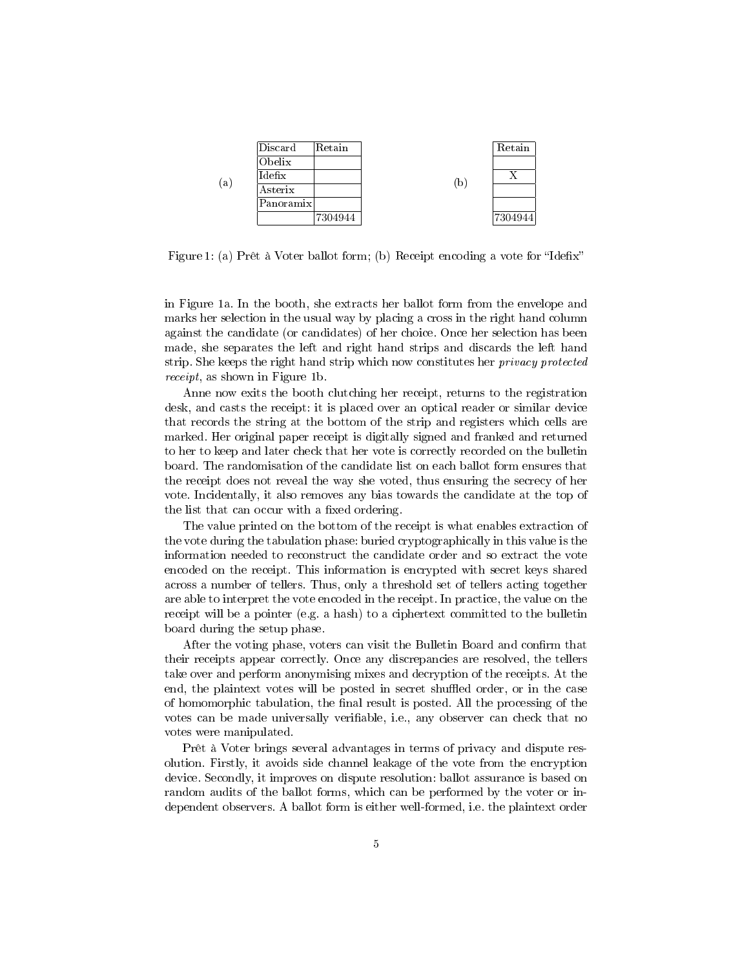

Figure 1: (a) Prêt à Voter ballot form; (b) Receipt encoding a vote for "Idefix"

in Figure 1a. In the booth, she extracts her ballot form from the envelope and marks her selection in the usual way by placing a cross in the right hand column against the candidate (or candidates) of her choice. Once her selection has been made, she separates the left and right hand strips and discards the left hand strip. She keeps the right hand strip which now constitutes her privacy protected receipt, as shown in Figure 1b.

Anne now exits the booth clutching her receipt, returns to the registration desk, and casts the receipt: it is placed over an optical reader or similar device that records the string at the bottom of the strip and registers which cells are marked. Her original paper receipt is digitally signed and franked and returned to her to keep and later check that her vote is correctly recorded on the bulletin board. The randomisation of the candidate list on each ballot form ensures that the receipt does not reveal the way she voted, thus ensuring the secrecy of her vote. Incidentally, it also removes any bias towards the candidate at the top of the list that can occur with a fixed ordering.

The value printed on the bottom of the receipt is what enables extraction of the vote during the tabulation phase: buried cryptographically in this value is the information needed to reconstruct the candidate order and so extract the vote encoded on the receipt. This information is encrypted with secret keys shared across a number of tellers. Thus, only a threshold set of tellers acting together are able to interpret the vote encoded in the receipt. In practice, the value on the receipt will be a pointer (e.g. a hash) to a ciphertext committed to the bulletin board during the setup phase.

After the voting phase, voters can visit the Bulletin Board and confirm that their receipts appear correctly. Once any discrepancies are resolved, the tellers take over and perform anonymising mixes and decryption of the receipts. At the end, the plaintext votes will be posted in secret shuffled order, or in the case of homomorphic tabulation, the final result is posted. All the processing of the votes can be made universally verifiable, i.e., any observer can check that no votes were manipulated.

Prêt à Voter brings several advantages in terms of privacy and dispute resolution. Firstly, it avoids side channel leakage of the vote from the encryption device. Secondly, it improves on dispute resolution: ballot assurance is based on random audits of the ballot forms, which can be performed by the voter or independent observers. A ballot form is either well-formed, i.e. the plaintext order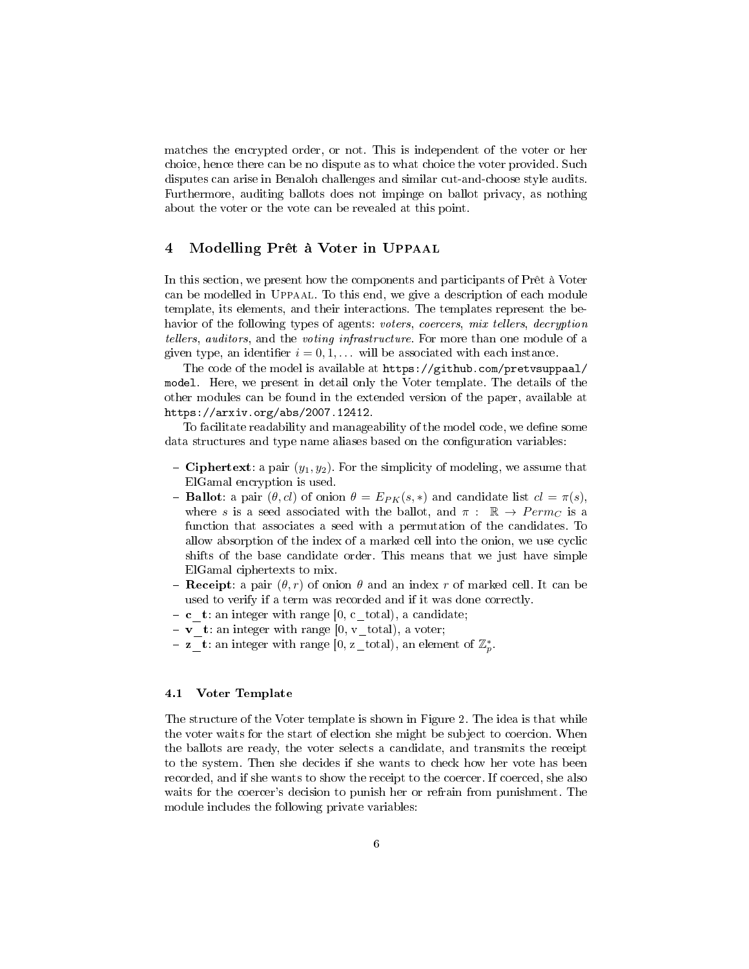matches the encrypted order, or not. This is independent of the voter or her choice, hence there can be no dispute as to what choice the voter provided. Such disputes can arise in Benaloh challenges and similar cut-and-choose style audits. Furthermore, auditing ballots does not impinge on ballot privacy, as nothing about the voter or the vote can be revealed at this point.

# 4 Modelling Prêt à Voter in Uppaal

In this section, we present how the components and participants of Prêt à Voter can be modelled in Uppaal. To this end, we give a description of each module template, its elements, and their interactions. The templates represent the behavior of the following types of agents: voters, coercers, mix tellers, decryption tellers, auditors, and the voting infrastructure. For more than one module of a given type, an identifier  $i = 0, 1, \ldots$  will be associated with each instance.

The code of the model is available at https://github.com/pretvsuppaal/ model. Here, we present in detail only the Voter template. The details of the other modules can be found in the extended version of the paper, available at https://arxiv.org/abs/2007.12412.

To facilitate readability and manageability of the model code, we define some data structures and type name aliases based on the configuration variables:

- **Ciphertext**: a pair  $(y_1, y_2)$ . For the simplicity of modeling, we assume that ElGamal encryption is used.
- **Ballot**: a pair  $(\theta, d)$  of onion  $\theta = E_{PK}(s, *)$  and candidate list  $cl = \pi(s)$ , where s is a seed associated with the ballot, and  $\pi : \mathbb{R} \to Perm_C$  is a function that associates a seed with a permutation of the candidates. To allow absorption of the index of a marked cell into the onion, we use cyclic shifts of the base candidate order. This means that we just have simple ElGamal ciphertexts to mix.
- Receipt: a pair  $(\theta, r)$  of onion  $\theta$  and an index r of marked cell. It can be used to verify if a term was recorded and if it was done correctly.
- $-c$  t: an integer with range [0, c\_total), a candidate;
- **v** t: an integer with range  $[0, v_{total}]$ , a voter;
- $-\mathbf{z}$   $\overline{\phantom{a}}$  t: an integer with range [0, z\_total), an element of  $\mathbb{Z}_p^*$ .

#### 4.1 Voter Template

The structure of the Voter template is shown in Figure 2. The idea is that while the voter waits for the start of election she might be subject to coercion. When the ballots are ready, the voter selects a candidate, and transmits the receipt to the system. Then she decides if she wants to check how her vote has been recorded, and if she wants to show the receipt to the coercer. If coerced, she also waits for the coercer's decision to punish her or refrain from punishment. The module includes the following private variables: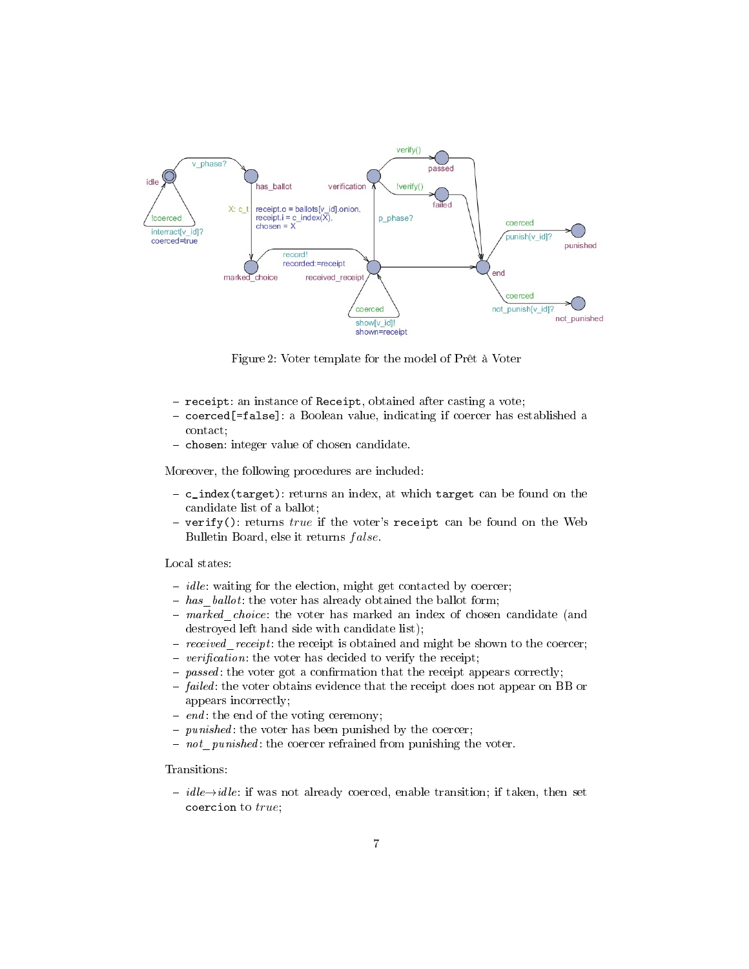

Figure 2: Voter template for the model of Prêt à Voter

- $-$  receipt: an instance of Receipt, obtained after casting a vote;
- coerced[=false]: a Boolean value, indicating if coercer has established a contact;
- chosen: integer value of chosen candidate.

Moreover, the following procedures are included:

- $-c_i$  index(target): returns an index, at which target can be found on the candidate list of a ballot;
- verify(): returns true if the voter's receipt can be found on the Web Bulletin Board, else it returns false.

#### Local states:

- $i = idle$ : waiting for the election, might get contacted by coercer;
- $h$  has ballot: the voter has already obtained the ballot form;
- $-$  marked choice: the voter has marked an index of chosen candidate (and destroyed left hand side with candidate list);
- $r = received \text{ } received \text{ } received \text{ } (i)$  receipt: the receipt is obtained and might be shown to the coercer;
- $-$  verification: the voter has decided to verify the receipt;
- $-p$ assed: the voter got a confirmation that the receipt appears correctly;
- $f$ ailed: the voter obtains evidence that the receipt does not appear on BB or appears incorrectly;
- $-$  end: the end of the voting ceremony;
- $-$  punished: the voter has been punished by the coercer;
- $-$  not\_punished: the coercer refrained from punishing the voter.

#### Transitions:

 $i$  *idle→idle*: if was not already coerced, enable transition; if taken, then set coercion to true;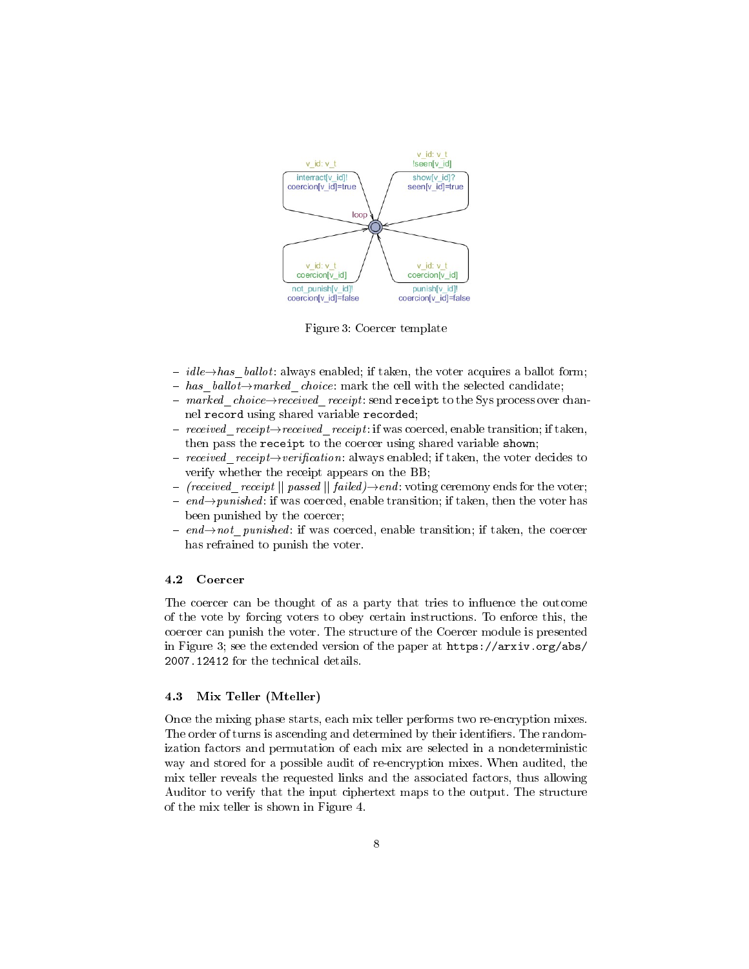

Figure 3: Coercer template

- $i = idle \rightarrow has$  ballot: always enabled; if taken, the voter acquires a ballot form;
- $h$  has ballot $\rightarrow$ marked choice: mark the cell with the selected candidate;
- marked\_choice→received\_receipt: send receipt to the Sys process over channel record using shared variable recorded;
- received receipt→received receipt: if was coerced, enable transition; if taken, then pass the receipt to the coercer using shared variable shown;
- *received receipt* $\rightarrow$ verification: always enabled; if taken, the voter decides to verify whether the receipt appears on the BB;
- $-$  (received\_receipt || passed || failed)→end: voting ceremony ends for the voter;
- $= end \rightarrow punished$ : if was coerced, enable transition; if taken, then the voter has been punished by the coercer;
- $e end \rightarrow not\_punished$ : if was coerced, enable transition; if taken, the coercer has refrained to punish the voter.

#### 4.2 Coercer

The coercer can be thought of as a party that tries to influence the outcome of the vote by forcing voters to obey certain instructions. To enforce this, the coercer can punish the voter. The structure of the Coercer module is presented in Figure 3; see the extended version of the paper at https://arxiv.org/abs/ 2007.12412 for the technical details.

#### 4.3 Mix Teller (Mteller)

Once the mixing phase starts, each mix teller performs two re-encryption mixes. The order of turns is ascending and determined by their identifiers. The randomization factors and permutation of each mix are selected in a nondeterministic way and stored for a possible audit of re-encryption mixes. When audited, the mix teller reveals the requested links and the associated factors, thus allowing Auditor to verify that the input ciphertext maps to the output. The structure of the mix teller is shown in Figure 4.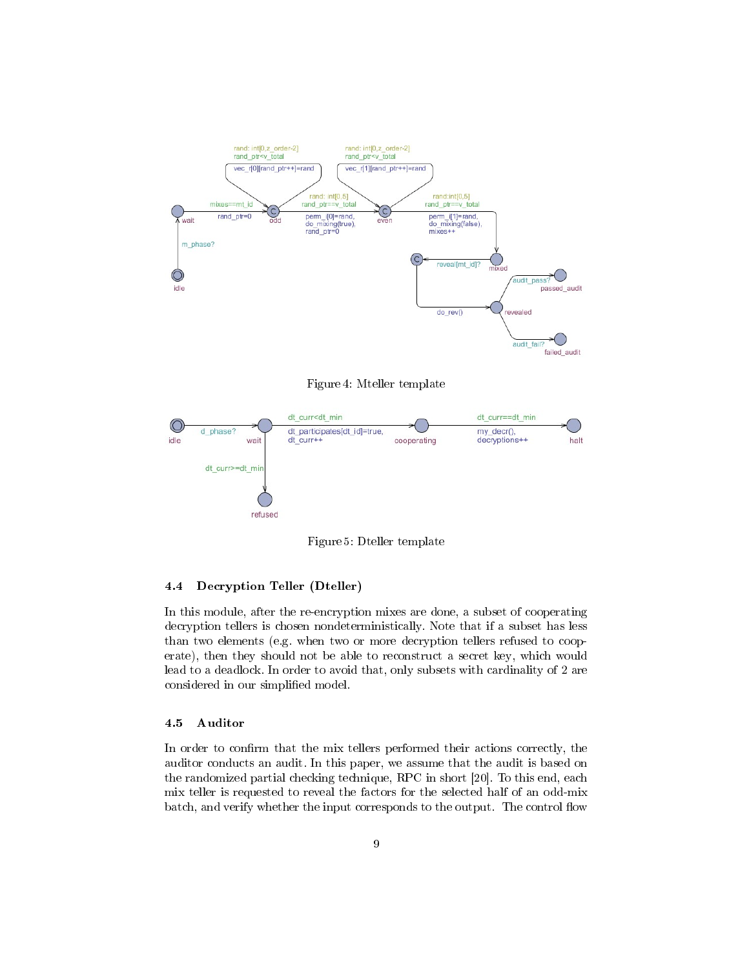

Figure 4: Mteller template



Figure 5: Dteller template

## 4.4 Decryption Teller (Dteller)

In this module, after the re-encryption mixes are done, a subset of cooperating decryption tellers is chosen nondeterministically. Note that if a subset has less than two elements (e.g. when two or more decryption tellers refused to cooperate), then they should not be able to reconstruct a secret key, which would lead to a deadlock. In order to avoid that, only subsets with cardinality of 2 are considered in our simplied model.

#### 4.5 Auditor

In order to confirm that the mix tellers performed their actions correctly, the auditor conducts an audit. In this paper, we assume that the audit is based on the randomized partial checking technique, RPC in short [20]. To this end, each mix teller is requested to reveal the factors for the selected half of an odd-mix batch, and verify whether the input corresponds to the output. The control flow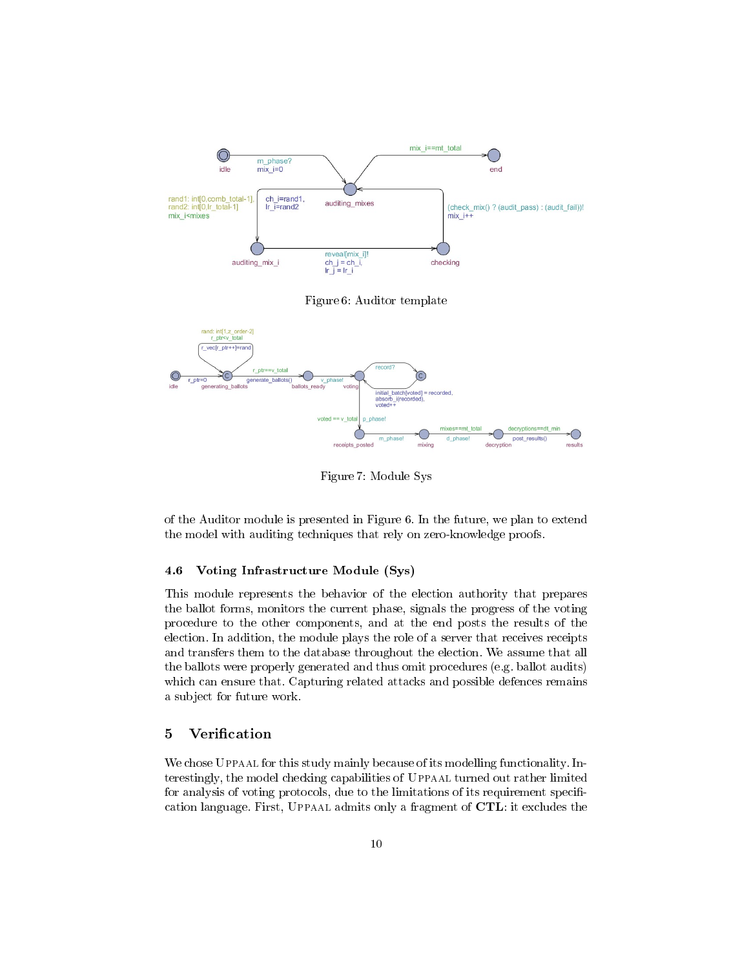

Figure 7: Module Sys

of the Auditor module is presented in Figure 6. In the future, we plan to extend the model with auditing techniques that rely on zero-knowledge proofs.

## 4.6 Voting Infrastructure Module (Sys)

This module represents the behavior of the election authority that prepares the ballot forms, monitors the current phase, signals the progress of the voting procedure to the other components, and at the end posts the results of the election. In addition, the module plays the role of a server that receives receipts and transfers them to the database throughout the election. We assume that all the ballots were properly generated and thus omit procedures (e.g. ballot audits) which can ensure that. Capturing related attacks and possible defences remains a subject for future work.

# 5 Verification

We chose UPPAAL for this study mainly because of its modelling functionality. Interestingly, the model checking capabilities of Uppaal turned out rather limited for analysis of voting protocols, due to the limitations of its requirement specification language. First, UPPAAL admits only a fragment of CTL: it excludes the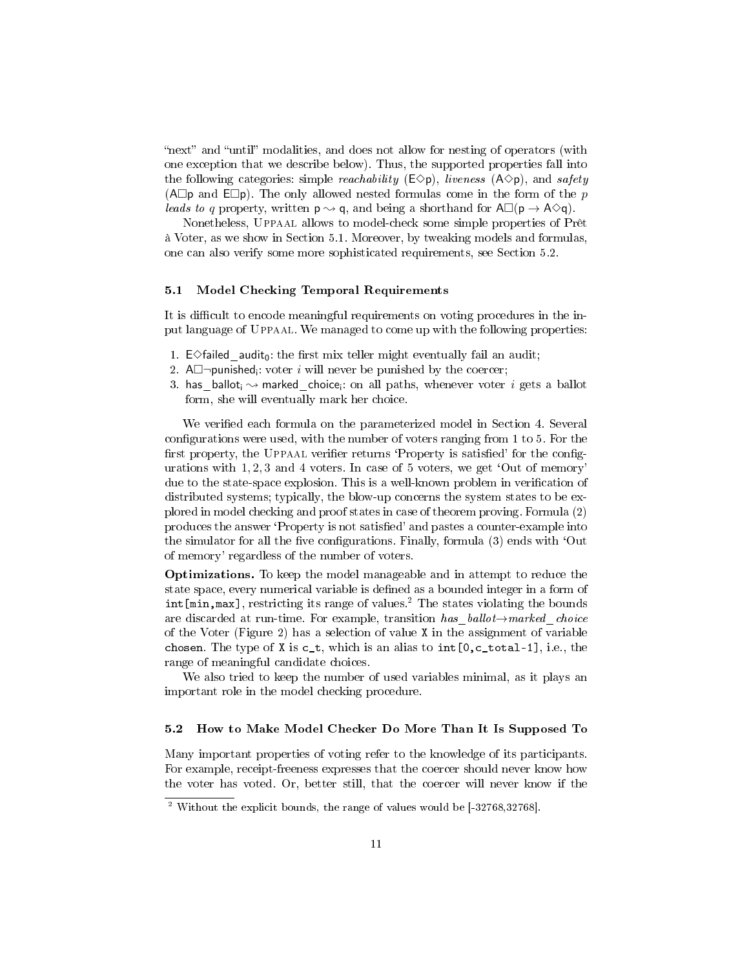"next" and "until" modalities, and does not allow for nesting of operators (with one exception that we describe below). Thus, the supported properties fall into the following categories: simple *reachability* ( $E$  $\Diamond$ *p*), *liveness* ( $A$  $\Diamond$ *p*), and *safety* (A $\Box$ p and E $\Box$ p). The only allowed nested formulas come in the form of the p leads to q property, written  $p \rightarrow q$ , and being a shorthand for  $A\Box(p \rightarrow A \Diamond q)$ .

Nonetheless, Uppaal allows to model-check some simple properties of Prêt à Voter, as we show in Section 5.1. Moreover, by tweaking models and formulas, one can also verify some more sophisticated requirements, see Section 5.2.

#### 5.1 Model Checking Temporal Requirements

It is difficult to encode meaningful requirements on voting procedures in the input language of UPPAAL. We managed to come up with the following properties:

- 1. E $\diamond$ failed audit<sub>0</sub>: the first mix teller might eventually fail an audit;
- 2. A $\Box$ -punished<sub>i</sub>: voter *i* will never be punished by the coercer;
- 3. has ballot<sub>i</sub>  $\rightsquigarrow$  marked choice<sub>i</sub>: on all paths, whenever voter i gets a ballot form, she will eventually mark her choice.

We verified each formula on the parameterized model in Section 4. Several configurations were used, with the number of voters ranging from 1 to 5. For the first property, the UPPAAL verifier returns 'Property is satisfied' for the configurations with  $1, 2, 3$  and  $4$  voters. In case of  $5$  voters, we get 'Out of memory' due to the state-space explosion. This is a well-known problem in verification of distributed systems; typically, the blow-up concerns the system states to be explored in model checking and proof states in case of theorem proving. Formula (2) produces the answer `Property is not satised' and pastes a counter-example into the simulator for all the five configurations. Finally, formula  $(3)$  ends with 'Out of memory' regardless of the number of voters.

Optimizations. To keep the model manageable and in attempt to reduce the state space, every numerical variable is defined as a bounded integer in a form of  $int[\min, max]$ , restricting its range of values.<sup>2</sup> The states violating the bounds are discarded at run-time. For example, transition has ballot→marked choice of the Voter (Figure 2) has a selection of value X in the assignment of variable chosen. The type of X is c\_t, which is an alias to  $int[0,c_{total-1}]$ , i.e., the range of meaningful candidate choices.

We also tried to keep the number of used variables minimal, as it plays an important role in the model checking procedure.

#### 5.2 How to Make Model Checker Do More Than It Is Supposed To

Many important properties of voting refer to the knowledge of its participants. For example, receipt-freeness expresses that the coercer should never know how the voter has voted. Or, better still, that the coercer will never know if the

<sup>&</sup>lt;sup>2</sup> Without the explicit bounds, the range of values would be [-32768,32768].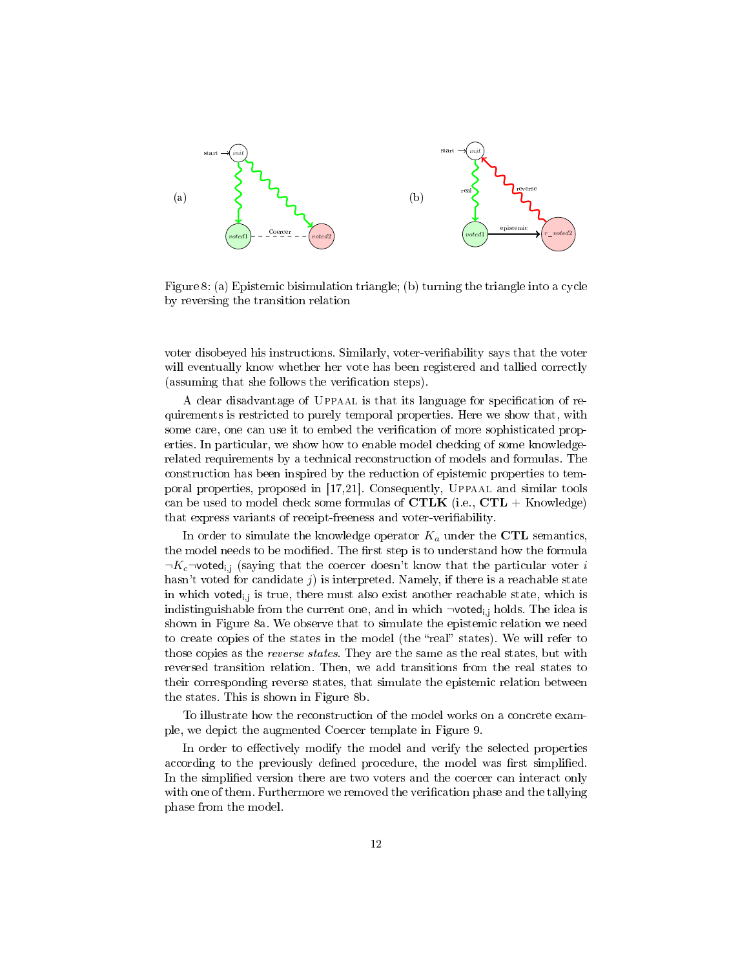

Figure 8: (a) Epistemic bisimulation triangle; (b) turning the triangle into a cycle by reversing the transition relation

voter disobeyed his instructions. Similarly, voter-veriability says that the voter will eventually know whether her vote has been registered and tallied correctly (assuming that she follows the verification steps).

A clear disadvantage of UPPAAL is that its language for specification of requirements is restricted to purely temporal properties. Here we show that, with some care, one can use it to embed the verification of more sophisticated properties. In particular, we show how to enable model checking of some knowledgerelated requirements by a technical reconstruction of models and formulas. The construction has been inspired by the reduction of epistemic properties to temporal properties, proposed in [17,21]. Consequently, Uppaal and similar tools can be used to model check some formulas of  $\mathbf{CTLK}$  (i.e.,  $\mathbf{CTL}$  + Knowledge) that express variants of receipt-freeness and voter-veriability.

In order to simulate the knowledge operator  $K_a$  under the CTL semantics, the model needs to be modified. The first step is to understand how the formula  $\neg K_c\neg$ voted<sub>i,j</sub> (saying that the coercer doesn't know that the particular voter i hasn't voted for candidate j) is interpreted. Namely, if there is a reachable state in which voted<sub>i,j</sub> is true, there must also exist another reachable state, which is indistinguishable from the current one, and in which  $\neg$ **oted**<sub>i,j</sub> holds. The idea is shown in Figure 8a. We observe that to simulate the epistemic relation we need to create copies of the states in the model (the "real" states). We will refer to those copies as the *reverse states*. They are the same as the real states, but with reversed transition relation. Then, we add transitions from the real states to their corresponding reverse states, that simulate the epistemic relation between the states. This is shown in Figure 8b.

To illustrate how the reconstruction of the model works on a concrete example, we depict the augmented Coercer template in Figure 9.

In order to effectively modify the model and verify the selected properties according to the previously defined procedure, the model was first simplified. In the simplified version there are two voters and the coercer can interact only with one of them. Furthermore we removed the verification phase and the tallying phase from the model.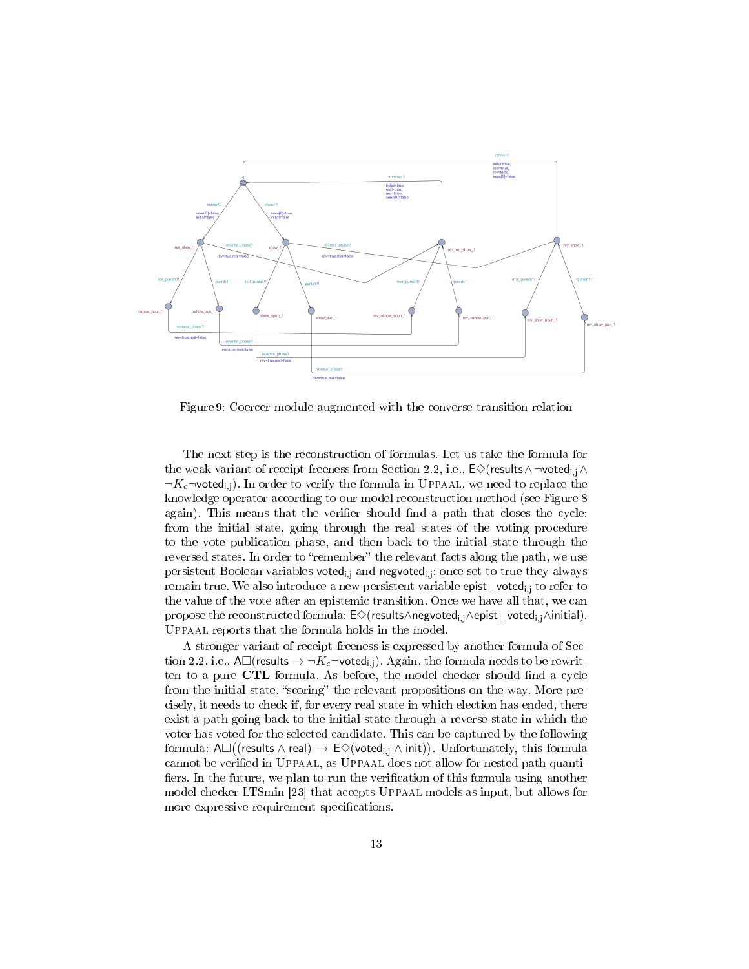

Figure 9: Coercer module augmented with the converse transition relation

The next step is the reconstruction of formulas. Let us take the formula for the weak variant of receipt-freeness from Section 2.2, i.e.,  $E\diamond$ (results∧¬voted<sub>i,j</sub>∧  $\neg K_c\neg$ voted<sub>i,j</sub>). In order to verify the formula in UPPAAL, we need to replace the knowledge operator according to our model reconstruction method (see Figure 8 again). This means that the verifier should find a path that closes the cycle: from the initial state, going through the real states of the voting procedure to the vote publication phase, and then back to the initial state through the reversed states. In order to "remember" the relevant facts along the path, we use persistent Boolean variables voted<sub>i,j</sub> and negvoted<sub>i,j</sub>: once set to true they always remain true. We also introduce a new persistent variable epist voted<sub>i,j</sub> to refer to the value of the vote after an epistemic transition. Once we have all that, we can propose the reconstructed formula: E◇(results∧negvoted<sub>i,j</sub>∧epist\_voted<sub>i,j</sub>∧initial). Uppaal reports that the formula holds in the model.

A stronger variant of receipt-freeness is expressed by another formula of Section 2.2, i.e.,  $\mathsf{A}\square$ (results  $\rightarrow \neg K_c\neg$ voted<sub>i,j</sub>). Again, the formula needs to be rewritten to a pure CTL formula. As before, the model checker should find a cycle from the initial state, "scoring" the relevant propositions on the way. More precisely, it needs to check if, for every real state in which election has ended, there exist a path going back to the initial state through a reverse state in which the voter has voted for the selected candidate. This can be captured by the following formula: A $\square(($ results  $\land$  real $) \rightarrow \mathsf{E} \diamondsuit(\mathsf{voted}_{i,j} \land \mathsf{init}))$ . Unfortunately, this formula cannot be verified in UPPAAL, as UPPAAL does not allow for nested path quantifiers. In the future, we plan to run the verification of this formula using another model checker LTSmin [23] that accepts Uppaal models as input, but allows for more expressive requirement specifications.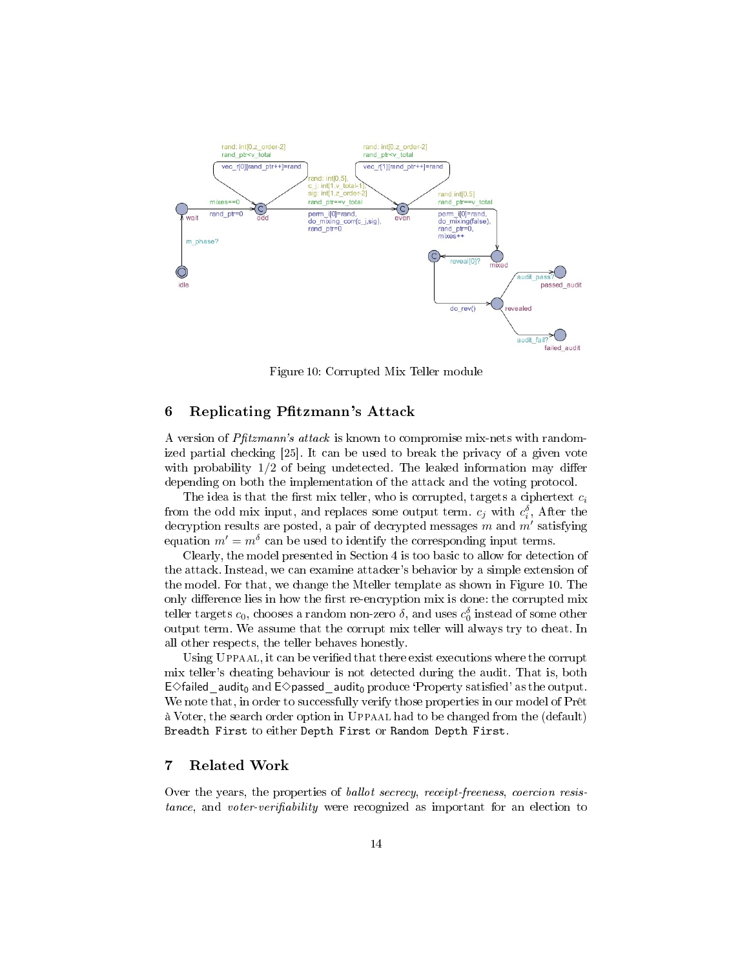

Figure 10: Corrupted Mix Teller module

# 6 Replicating Pfitzmann's Attack

A version of *Pfitzmann's attack* is known to compromise mix-nets with randomized partial checking [25]. It can be used to break the privacy of a given vote with probability  $1/2$  of being undetected. The leaked information may differ depending on both the implementation of the attack and the voting protocol.

The idea is that the first mix teller, who is corrupted, targets a ciphertext  $c_i$ from the odd mix input, and replaces some output term.  $c_j$  with  $c_i^{\delta}$ , After the decryption results are posted, a pair of decrypted messages  $m$  and  $m'$  satisfying equation  $m' = m^{\delta}$  can be used to identify the corresponding input terms.

Clearly, the model presented in Section 4 is too basic to allow for detection of the attack. Instead, we can examine attacker's behavior by a simple extension of the model. For that, we change the Mteller template as shown in Figure 10. The only difference lies in how the first re-encryption mix is done: the corrupted mix teller targets  $c_0$ , chooses a random non-zero  $\delta$ , and uses  $c_0^\delta$  instead of some other output term. We assume that the corrupt mix teller will always try to cheat. In all other respects, the teller behaves honestly.

Using UPPAAL, it can be verified that there exist executions where the corrupt mix teller's cheating behaviour is not detected during the audit. That is, both E $\diamond$ failed audit<sub>0</sub> and E $\diamond$ passed audit<sub>0</sub> produce 'Property satisfied' as the output. We note that, in order to successfully verify those properties in our model of Prêt à Voter, the search order option in Uppaal had to be changed from the (default) Breadth First to either Depth First or Random Depth First.

# 7 Related Work

Over the years, the properties of *ballot secrecy*, *receipt-freeness*, *coercion resis*tance, and voter-verifiability were recognized as important for an election to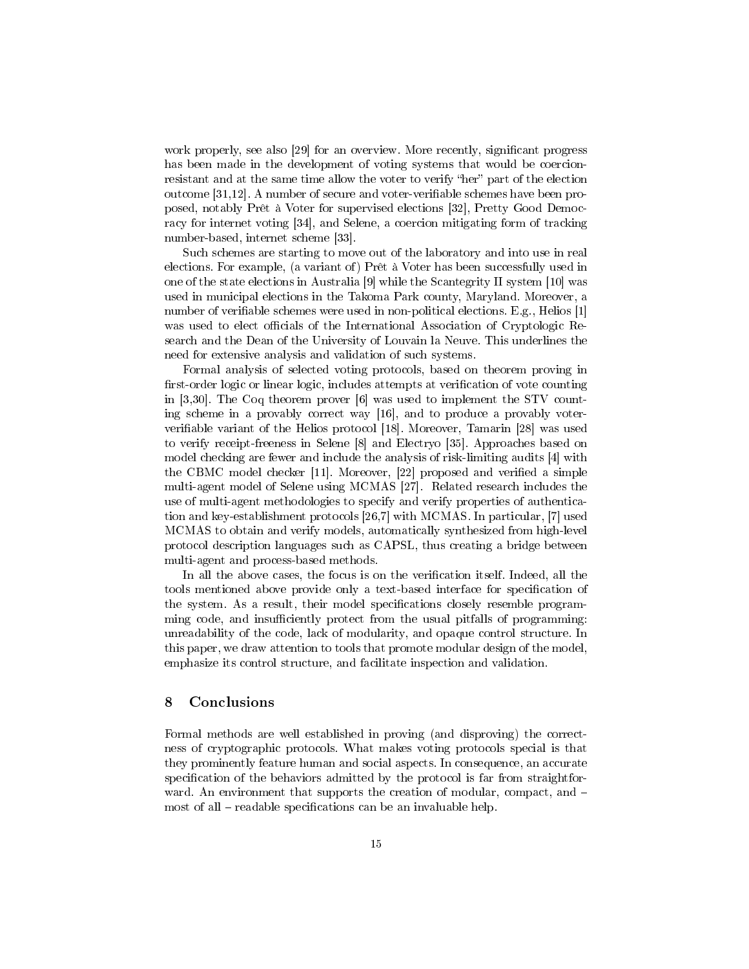work properly, see also [29] for an overview. More recently, significant progress has been made in the development of voting systems that would be coercionresistant and at the same time allow the voter to verify "her" part of the election outcome  $[31,12]$ . A number of secure and voter-verifiable schemes have been proposed, notably Prêt à Voter for supervised elections [32], Pretty Good Democracy for internet voting [34], and Selene, a coercion mitigating form of tracking number-based, internet scheme [33].

Such schemes are starting to move out of the laboratory and into use in real elections. For example, (a variant of) Prêt à Voter has been successfully used in one of the state elections in Australia [9] while the Scantegrity II system [10] was used in municipal elections in the Takoma Park county, Maryland. Moreover, a number of verifiable schemes were used in non-political elections. E.g., Helios [1] was used to elect officials of the International Association of Cryptologic Research and the Dean of the University of Louvain la Neuve. This underlines the need for extensive analysis and validation of such systems.

Formal analysis of selected voting protocols, based on theorem proving in first-order logic or linear logic, includes attempts at verification of vote counting in [3,30]. The Coq theorem prover [6] was used to implement the STV counting scheme in a provably correct way [16], and to produce a provably voterverifiable variant of the Helios protocol [18]. Moreover, Tamarin [28] was used to verify receipt-freeness in Selene [8] and Electryo [35]. Approaches based on model checking are fewer and include the analysis of risk-limiting audits [4] with the CBMC model checker [11]. Moreover, [22] proposed and verified a simple multi-agent model of Selene using MCMAS [27]. Related research includes the use of multi-agent methodologies to specify and verify properties of authentication and key-establishment protocols [26,7] with MCMAS. In particular, [7] used MCMAS to obtain and verify models, automatically synthesized from high-level protocol description languages such as CAPSL, thus creating a bridge between multi-agent and process-based methods.

In all the above cases, the focus is on the verification itself. Indeed, all the tools mentioned above provide only a text-based interface for specification of the system. As a result, their model specifications closely resemble programming code, and insufficiently protect from the usual pitfalls of programming: unreadability of the code, lack of modularity, and opaque control structure. In this paper, we draw attention to tools that promote modular design of the model, emphasize its control structure, and facilitate inspection and validation.

# 8 Conclusions

Formal methods are well established in proving (and disproving) the correctness of cryptographic protocols. What makes voting protocols special is that they prominently feature human and social aspects. In consequence, an accurate specification of the behaviors admitted by the protocol is far from straightforward. An environment that supports the creation of modular, compact, and  $$ most of all  $-$  readable specifications can be an invaluable help.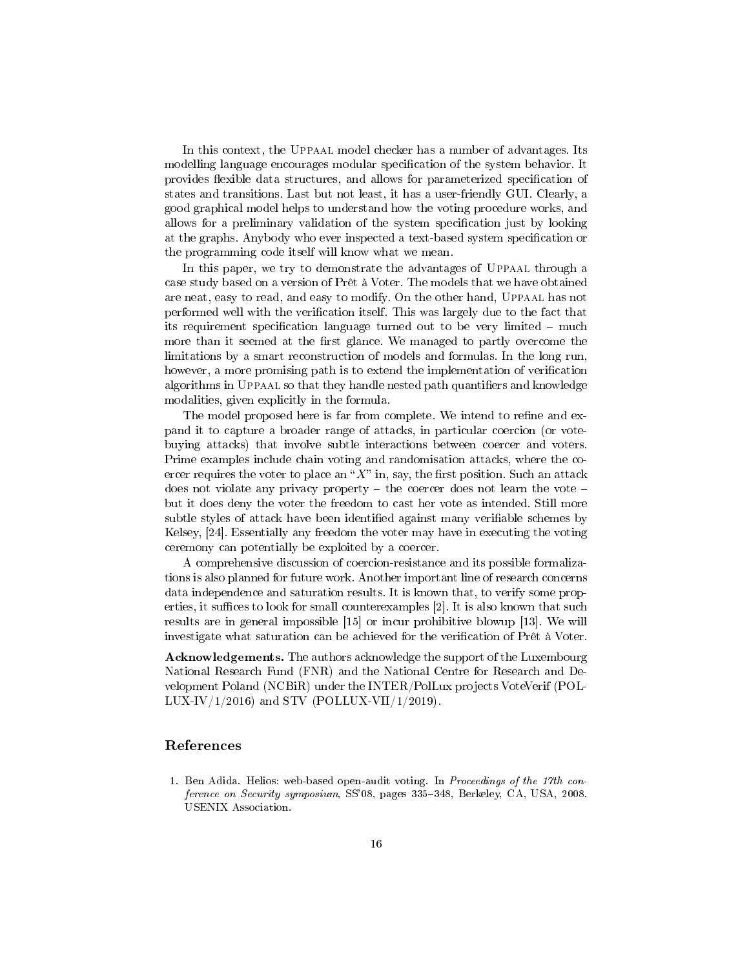In this context, the Uppaal model checker has a number of advantages. Its modelling language encourages modular specification of the system behavior. It provides flexible data structures, and allows for parameterized specification of states and transitions. Last but not least, it has a user-friendly GUI. Clearly, a good graphical model helps to understand how the voting procedure works, and allows for a preliminary validation of the system specification just by looking at the graphs. Anybody who ever inspected a text-based system specification or the programming code itself will know what we mean.

In this paper, we try to demonstrate the advantages of Uppaal through a case study based on a version of Prêt à Voter. The models that we have obtained are neat, easy to read, and easy to modify. On the other hand, Uppaal has not performed well with the verification itself. This was largely due to the fact that its requirement specification language turned out to be very limited  $-$  much more than it seemed at the first glance. We managed to partly overcome the limitations by a smart reconstruction of models and formulas. In the long run, however, a more promising path is to extend the implementation of verification algorithms in UPPAAL so that they handle nested path quantifiers and knowledge modalities, given explicitly in the formula.

The model proposed here is far from complete. We intend to refine and expand it to capture a broader range of attacks, in particular coercion (or votebuying attacks) that involve subtle interactions between coercer and voters. Prime examples include chain voting and randomisation attacks, where the coercer requires the voter to place an " $X$ " in, say, the first position. Such an attack does not violate any privacy property  $-$  the coercer does not learn the vote  $$ but it does deny the voter the freedom to cast her vote as intended. Still more subtle styles of attack have been identified against many verifiable schemes by Kelsey, [24]. Essentially any freedom the voter may have in executing the voting ceremony can potentially be exploited by a coercer.

A comprehensive discussion of coercion-resistance and its possible formalizations is also planned for future work. Another important line of research concerns data independence and saturation results. It is known that, to verify some properties, it suffices to look for small counterexamples  $[2]$ . It is also known that such results are in general impossible [15] or incur prohibitive blowup [13]. We will investigate what saturation can be achieved for the verification of Prêt à Voter.

Acknowledgements. The authors acknowledge the support of the Luxembourg National Research Fund (FNR) and the National Centre for Research and Development Poland (NCBiR) under the INTER/PolLux projects VoteVerif (POL-LUX-IV/1/2016) and STV (POLLUX-VII/1/2019).

## References

1. Ben Adida. Helios: web-based open-audit voting. In Proceedings of the 17th conference on Security symposium, SS'08, pages 335-348, Berkeley, CA, USA, 2008. USENIX Association.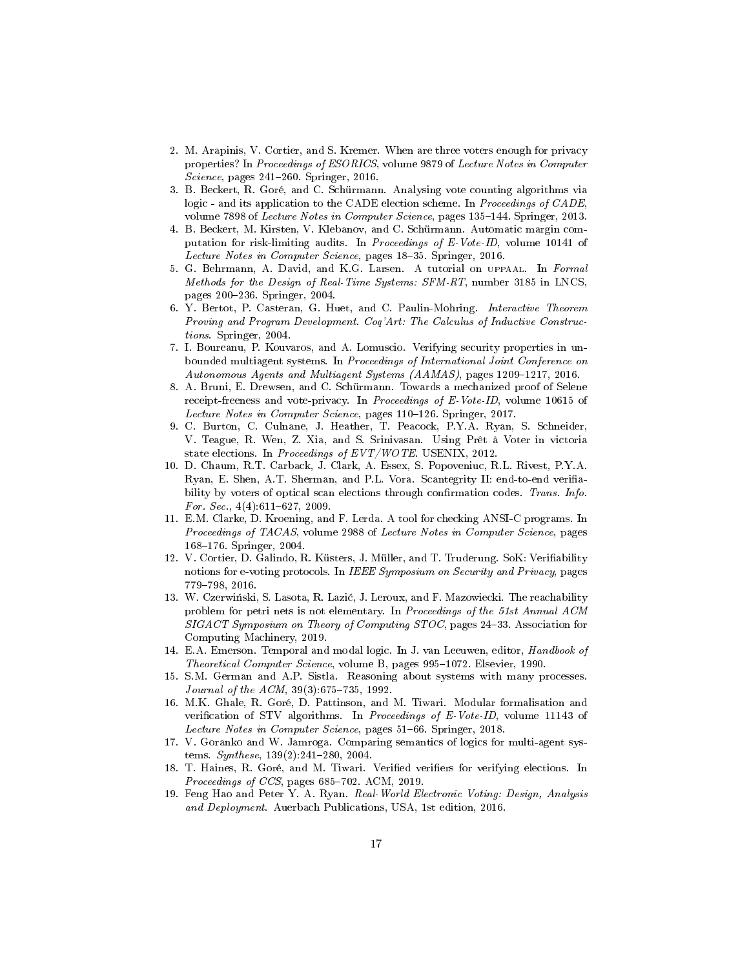- 2. M. Arapinis, V. Cortier, and S. Kremer. When are three voters enough for privacy properties? In Proceedings of ESORICS, volume 9879 of Lecture Notes in Computer Science, pages  $241-260$ . Springer, 2016.
- 3. B. Beckert, R. Goré, and C. Schürmann. Analysing vote counting algorithms via logic - and its application to the CADE election scheme. In *Proceedings of CADE*, volume 7898 of Lecture Notes in Computer Science, pages 135–144. Springer, 2013.
- 4. B. Beckert, M. Kirsten, V. Klebanov, and C. Schürmann. Automatic margin computation for risk-limiting audits. In Proceedings of E-Vote-ID, volume 10141 of Lecture Notes in Computer Science, pages 18-35. Springer, 2016.
- 5. G. Behrmann, A. David, and K.G. Larsen. A tutorial on UPPAAL. In Formal Methods for the Design of Real-Time Systems: SFM-RT, number 3185 in LNCS, pages 200-236. Springer, 2004.
- 6. Y. Bertot, P. Casteran, G. Huet, and C. Paulin-Mohring. Interactive Theorem Proving and Program Development. Coq'Art: The Calculus of Inductive Constructions. Springer, 2004.
- 7. I. Boureanu, P. Kouvaros, and A. Lomuscio. Verifying security properties in unbounded multiagent systems. In Proceedings of International Joint Conference on Autonomous Agents and Multiagent Systems  $(AAMAS)$ , pages 1209-1217, 2016.
- 8. A. Bruni, E. Drewsen, and C. Schürmann. Towards a mechanized proof of Selene receipt-freeness and vote-privacy. In Proceedings of E-Vote-ID, volume 10615 of Lecture Notes in Computer Science, pages 110-126. Springer, 2017.
- 9. C. Burton, C. Culnane, J. Heather, T. Peacock, P.Y.A. Ryan, S. Schneider, V. Teague, R. Wen, Z. Xia, and S. Srinivasan. Using Prêt à Voter in victoria state elections. In Proceedings of EVT/WOTE. USENIX, 2012.
- 10. D. Chaum, R.T. Carback, J. Clark, A. Essex, S. Popoveniuc, R.L. Rivest, P.Y.A. Ryan, E. Shen, A.T. Sherman, and P.L. Vora. Scantegrity II: end-to-end veriability by voters of optical scan elections through confirmation codes. Trans. Info. For. Sec.,  $4(4):611-627$ , 2009.
- 11. E.M. Clarke, D. Kroening, and F. Lerda. A tool for checking ANSI-C programs. In Proceedings of TACAS, volume 2988 of Lecture Notes in Computer Science, pages 168-176. Springer, 2004.
- 12. V. Cortier, D. Galindo, R. Küsters, J. Müller, and T. Truderung. SoK: Veriability notions for e-voting protocols. In IEEE Symposium on Security and Privacy, pages 779798, 2016.
- 13. W. Czerwiński, S. Lasota, R. Lazić, J. Leroux, and F. Mazowiecki. The reachability problem for petri nets is not elementary. In Proceedings of the 51st Annual ACM SIGACT Symposium on Theory of Computing STOC, pages 24-33. Association for Computing Machinery, 2019.
- 14. E.A. Emerson. Temporal and modal logic. In J. van Leeuwen, editor, Handbook of Theoretical Computer Science, volume B, pages 995-1072. Elsevier, 1990.
- 15. S.M. German and A.P. Sistla. Reasoning about systems with many processes. *Journal of the ACM*,  $39(3):675-735$ , 1992.
- 16. M.K. Ghale, R. Goré, D. Pattinson, and M. Tiwari. Modular formalisation and verification of STV algorithms. In Proceedings of E-Vote-ID, volume 11143 of Lecture Notes in Computer Science, pages 51–66. Springer, 2018.
- 17. V. Goranko and W. Jamroga. Comparing semantics of logics for multi-agent systems.  $Synthese$ ,  $139(2):241-280$ ,  $2004$ .
- 18. T. Haines, R. Goré, and M. Tiwari. Verified verifiers for verifying elections. In Proceedings of CCS, pages  $685-702$ . ACM, 2019.
- 19. Feng Hao and Peter Y. A. Ryan. Real-World Electronic Voting: Design, Analysis and Deployment. Auerbach Publications, USA, 1st edition, 2016.